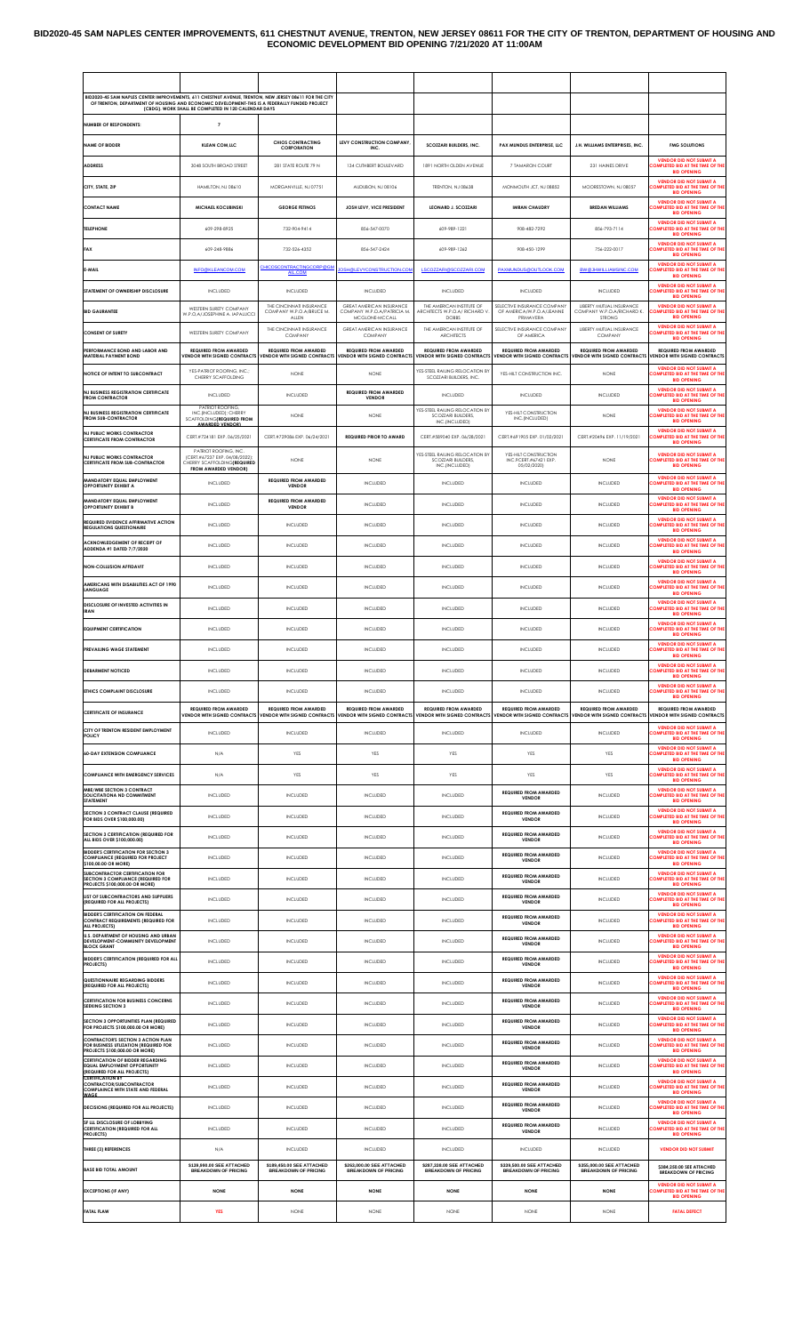### **BID2020-45 SAM NAPLES CENTER IMPROVEMENTS, 611 CHESTNUT AVENUE, TRENTON, NEW JERSEY 08611 FOR THE CITY OF TRENTON, DEPARTMENT OF HOUSING AND ECONOMIC DEVELOPMENT BID OPENING 7/21/2020 AT 11:00AM**

| BID2020-45 SAM NAPLES CENTER IMPROVEMENTS, 611 CHESTNUT AVENUE, TRENTON, NEW JERSEY 08611 FOR THE CITY<br>OF TRENTON, DEPARTMENT OF HOUSING AND ECONOMIC DEVELOPMENT-THIS IS A FEDERALLY FUNDED PROJECT | (CBDG). WORK SHALL BE COMPLETED IN 120 CALENDAR DAYS                                       |                                                                     |                                                                                                  |                                                             |                                                                     |                                                                                           |                                                                                                               |
|---------------------------------------------------------------------------------------------------------------------------------------------------------------------------------------------------------|--------------------------------------------------------------------------------------------|---------------------------------------------------------------------|--------------------------------------------------------------------------------------------------|-------------------------------------------------------------|---------------------------------------------------------------------|-------------------------------------------------------------------------------------------|---------------------------------------------------------------------------------------------------------------|
| <b>NUMBER OF RESPONDENTS:</b>                                                                                                                                                                           | $\overline{7}$                                                                             |                                                                     |                                                                                                  |                                                             |                                                                     |                                                                                           |                                                                                                               |
| NAME OF BIDDER                                                                                                                                                                                          | <b>KLEAN COM.LLC</b>                                                                       | <b>CHIOS CONTRACTING</b><br><b>CORPORATION</b>                      | LEVY CONSTRUCTION COMPANY<br>INC.                                                                | <b>SCOZZARI BUILDERS, INC.</b>                              | PAX MUNDUS ENTERPRISE LLC                                           | <b>J.H. WILLIAMS ENTERPRISES INC.</b>                                                     | <b>FMG SOLUTIONS</b>                                                                                          |
| <b>ADDRESS</b>                                                                                                                                                                                          | 3048 SOUTH BROAD STREET                                                                    | 281 STATE ROUTE 79 N                                                | 134 CUTHBERT BOULEVARD                                                                           | 1891 NORTH OLDEN AVENUE                                     | 7 TAMARON COURT                                                     | 231 HAINES DRIVE                                                                          | <b>VENDOR DID NOT SUBMIT A</b><br>OMPLETED BID AT THE TIME OF TH<br><b>BID OPENING</b>                        |
| CITY, STATE, ZIP                                                                                                                                                                                        | HAMILTON, NJ 08610                                                                         | MORGANVILLE, NJ 07751                                               | AUDUBON, NJ 08106                                                                                | TRENTON, NJ 08638                                           | MONMOUTH JCT, NJ 08852                                              | MOORESTOWN, NJ 08057                                                                      | <b>VENDOR DID NOT SUBMIT A</b><br><b>COMPLETED BID AT THE TIME OF TH</b>                                      |
| <b>CONTACT NAME</b>                                                                                                                                                                                     | <b>MICHAEL KOCUBINSKI</b>                                                                  | <b>GEORGE FETINOS</b>                                               | JOSH LEVY, VICE PRESIDENT                                                                        | <b>LEONARD J. SCOZZARI</b>                                  | <b>IMRAN CHAUDRY</b>                                                | <b>BREDAN WILLIAMS</b>                                                                    | <b>BID OPENING</b><br><b>VENDOR DID NOT SUBMIT A</b><br>COMPLETED BID AT THE TIME OF TH<br><b>BID OPENING</b> |
| <b>TELEPHONE</b>                                                                                                                                                                                        | 609-298-8925                                                                               | 732-904-9414                                                        | 856-547-0070                                                                                     | 609-989-1221                                                | 908-482-7292                                                        | 856-793-7114                                                                              | <b>VENDOR DID NOT SUBMIT A</b><br>COMPLETED BID AT THE TIME OF TH<br><b>BID OPENING</b>                       |
| <b>FAX</b>                                                                                                                                                                                              | 609-248-9886                                                                               | 732-526-4352                                                        | 856-547-2424                                                                                     | 609-989-1262                                                | 908-450-1299                                                        | 756-222-0017                                                                              | <b>VENDOR DID NOT SUBMIT A</b><br>COMPLETED BID AT THE TIME OF TH<br><b>BID OPENING</b>                       |
| E-MAIL                                                                                                                                                                                                  | <b>INFO@KLEANCOM.COM</b>                                                                   | <b>CHICOSCONTRACTINGCORP@GM</b><br>AIL.COM                          | OSH@LEVYCONSTRUCTION.COM                                                                         | LSCOZZARI@SCOZZARI.COM                                      | PAXMUNDUS@OUTLOOK.COM                                               | <b>BW@JHWILLIAMSINC.COM</b>                                                               | <b>VENDOR DID NOT SUBMIT A</b><br>COMPLETED BID AT THE TIME OF TH<br><b>BID OPENING</b>                       |
| STATEMENT OF OWNERSHIP DISCLOSURE                                                                                                                                                                       | INCLUDED                                                                                   | <b>INCLUDED</b>                                                     | <b>INCLUDED</b>                                                                                  | <b>INCLUDED</b>                                             | <b>INCLUDED</b>                                                     | <b>INCLUDED</b>                                                                           | <b>VENDOR DID NOT SUBMIT A</b><br>COMPLETED BID AT THE TIME OF TH<br><b>BID OPENING</b>                       |
| <b>BID GAURANTEE</b>                                                                                                                                                                                    | WESTERN SURETY COMPANY<br>W.P.O,A/JOSEPHINE A. IAPALUCCI                                   | THE CINCINNATI INSURANCE<br>COMPANY W.P.O.A/BRUCE M.                | GREAT AMERICAN INSURANCE<br>COMPANY W.P.O.A/PATRICIA M.                                          | THE AMERICAN INSTITUTE OF<br>ARCHITECTS W.P.O.A/ RICHARD V  | SELECTIVE INSURANCE COMPANY<br>OF AMERICA/W.P.O.A/JEANNE            | LIBERTY MUTUAL INSURANCE<br>COMPANY W.P.O.A/RICHARD K.                                    | <b>VENDOR DID NOT SUBMIT A</b><br>COMPLETED BID AT THE TIME OF TH                                             |
| <b>CONSENT OF SURETY</b>                                                                                                                                                                                | WESTERN SURETY COMPANY                                                                     | ALLEN<br>THE CINCINNATI INSURANCE<br>COMPANY                        | MCGLONE-MCCALL<br>GREAT AMERICAN INSURANCE<br>COMPANY                                            | DOBBS<br>THE AMERICAN INSTITUTE OF<br>ARCHITECTS            | PRIMAVERA<br>SELECTIVE INSURANCE COMPANY<br>OF AMERICA              | STRONG<br>LIBERTY MUTUAL INSURANCE<br>COMPANY                                             | <b>BID OPENING</b><br><b>VENDOR DID NOT SUBMIT A</b><br>COMPLETED BID AT THE TIME OF TH                       |
| PERFORMANCE BOND AND LABOR AND<br><b>MATERIAL PAYMENT BOND</b>                                                                                                                                          | <b>REQUIRED FROM AWARDED</b><br><b>VENDOR WITH SIGNED CONTRACTS</b>                        | <b>REQUIRED FROM AWARDED</b><br><b>VENDOR WITH SIGNED CONTRACTS</b> | <b>REQUIRED FROM AWARDED</b><br><b>VENDOR WITH SIGNED CONTRACTS VENDOR WITH SIGNED CONTRACTS</b> | <b>REQUIRED FROM AWARDED</b>                                | <b>REQUIRED FROM AWARDED</b>                                        | <b>REQUIRED FROM AWARDED</b><br>VENDOR WITH SIGNED CONTRACTS VENDOR WITH SIGNED CONTRACTS | <b>BID OPENING</b><br><b>REQUIRED FROM AWARDED</b><br><b>VENDOR WITH SIGNED CONTRACTS</b>                     |
| NOTICE OF INTENT TO SUBCONTRACT                                                                                                                                                                         | YES-PATRIOT ROOFING, INC.;<br>CHERRY SCAFFOLDING                                           | <b>NONE</b>                                                         | <b>NONE</b>                                                                                      | YES-STEEL RAILING RELOCATION BY<br>SCOZZARI BUILDERS, INC.  | YES-HILT CONSTRUCTION INC                                           | <b>NONE</b>                                                                               | <b>VENDOR DID NOT SUBMIT A</b><br>COMPLETED BID AT THE TIME OF TH                                             |
| <b>NJ BUSINESS REGISTRATION CERTIFICATE</b><br><b>FROM CONTRACTOR</b>                                                                                                                                   | INCLUDED                                                                                   | <b>INCLUDED</b>                                                     | <b>REQUIRED FROM AWARDED</b><br><b>VENDOR</b>                                                    | <b>INCLUDED</b>                                             | INCLUDED                                                            | <b>INCLUDED</b>                                                                           | <b>BID OPENING</b><br>VENDOR DID NOT SURMIT A<br>COMPLETED BID AT THE TIME OF TH                              |
| <b>NJ BUSINESS REGISTRATION CERTIFICATE</b>                                                                                                                                                             | PATRIOT ROOFING<br>INC.(INCLUDED); CHERRY                                                  | <b>NONE</b>                                                         | <b>NONE</b>                                                                                      | YES-STEEL RAILING RELOCATION BY<br><b>SCOZZARI BUILDERS</b> | YES-HILT CONSTRUCTION                                               | <b>NONE</b>                                                                               | <b>BID OPENING</b><br><b>VENDOR DID NOT SUBMIT A</b><br>COMPLETED BID AT THE TIME OF TH                       |
| <b>FROM SUB-CONTRACTOR</b><br><b>N.I PUBLIC WORKS CONTRACTOR</b>                                                                                                                                        | <b>SCAFFOLDING(REQUIRED FROM</b><br><b>AWARDED VENDORY</b><br>CERT.#724181 EXP. 06/25/2021 | CERT.#729086 EXP. 06/24/2021                                        | <b>REQUIRED PRIOR TO AWARD</b>                                                                   | INC.(INCLUDED)<br>CERT.#589040 EXP. 06/28/2021              | INC.(INCLUDED)<br>CERT.#691905 EXP. 01/02/2021                      | CERT.#20496 EXP. 11/19/2021                                                               | <b>BID OPENING</b><br><b>VENDOR DID NOT SUBMIT A</b><br>COMPLETED BID AT THE TIME OF TH                       |
| <b>CERTIFICATE FROM CONTRACTOR</b><br><b>NJ PUBLIC WORKS CONTRACTOR</b>                                                                                                                                 | PATRIOT ROOFING, INC.<br>(CERT.#67237 EXP. 04/08/2022)                                     |                                                                     |                                                                                                  | YES-STEEL RAILING RELOCATION BY                             | YES-HILT CONSTRUCTION                                               |                                                                                           | <b>BID OPENING</b><br><b>VENDOR DID NOT SUBMIT A</b>                                                          |
| <b>CERTIFICATE FROM SUB-CONTRACTOR</b>                                                                                                                                                                  | CHERRY SCAFFOLDING(REQUIRED<br><b>FROM AWARDED VENDOR)</b>                                 | <b>NONE</b>                                                         | <b>NONE</b>                                                                                      | SCOZZARI BUILDERS,<br>INC.(INCLUDED)                        | INC.9CERT.#67421 EXP.<br>05/02/2020)                                | <b>NONE</b>                                                                               | COMPLETED BID AT THE TIME OF TH<br><b>BID OPENING</b><br><b>VENDOR DID NOT SUBMIT A</b>                       |
| MANDATORY EQUAL EMPLOYMENT<br><b>OPPORTUNITY EXHIBIT A</b>                                                                                                                                              | INCLUDED                                                                                   | <b>REQUIRED FROM AWARDED</b><br><b>VENDOR</b>                       | <b>INCLUDED</b>                                                                                  | <b>INCLUDED</b>                                             | INCLUDED                                                            | <b>INCLUDED</b>                                                                           | <b>COMPLETED BID AT THE TIME OF TH</b><br><b>BID OPENING</b>                                                  |
| <b>MANDATORY EQUAL EMPLOYMENT</b><br><b>OPPORTUNITY EXHIBIT B</b>                                                                                                                                       | INCLUDED                                                                                   | <b>REQUIRED FROM AWARDED</b><br><b>VENDOR</b>                       | <b>INCLUDED</b>                                                                                  | <b>INCLUDED</b>                                             | INCLUDED                                                            | <b>INCLUDED</b>                                                                           | <b>VENDOR DID NOT SUBMIT A</b><br>COMPLETED BID AT THE TIME OF TH<br><b>BID OPENING</b>                       |
| <b>REQUIRED EVIDENCE AFFIRMATIVE ACTION</b><br><b>REGULATIONS QUESTIONAIRE</b>                                                                                                                          | INCLUDED                                                                                   | <b>INCLUDED</b>                                                     | <b>INCLUDED</b>                                                                                  | <b>INCLUDED</b>                                             | <b>INCLUDED</b>                                                     | <b>INCLUDED</b>                                                                           | <b>VENDOR DID NOT SUBMIT A</b><br>COMPLETED BID AT THE TIME OF TH<br><b>BID OPENING</b>                       |
| <b>ACKNOWLEDGEMENT OF RECEIPT OF</b><br>ADDENDA #1 DATED 7/7/2020                                                                                                                                       | INCLUDED                                                                                   | <b>INCLUDED</b>                                                     | <b>INCLUDED</b>                                                                                  | <b>INCLUDED</b>                                             | INCLUDED                                                            | <b>INCLUDED</b>                                                                           | <b>VENDOR DID NOT SUBMIT A</b><br>COMPLETED BID AT THE TIME OF TH<br><b>BID OPENING</b>                       |
| <b>NON-COLLUSION AFFIDAVIT</b>                                                                                                                                                                          | INCLUDED                                                                                   | <b>INCLUDED</b>                                                     | <b>INCLUDED</b>                                                                                  | <b>INCLUDED</b>                                             | INCLUDED                                                            | <b>INCLUDED</b>                                                                           | <b>VENDOR DID NOT SUBMIT A</b><br>COMPLETED BID AT THE TIME OF TH<br><b>BID OPENING</b>                       |
| AMERICANS WITH DISABILITIES ACT OF 1990<br>LANGUAGE                                                                                                                                                     | INCLUDED                                                                                   | <b>INCLUDED</b>                                                     | <b>INCLUDED</b>                                                                                  | <b>INCLUDED</b>                                             | INCLUDED                                                            | <b>INCLUDED</b>                                                                           | <b>VENDOR DID NOT SUBMIT A</b><br>COMPLETED BID AT THE TIME OF TH<br><b>BID OPENING</b>                       |
| DISCLOSURE OF INVESTED ACTIVITIES IN<br><b>IRAN</b>                                                                                                                                                     | INCLUDED                                                                                   | <b>INCLUDED</b>                                                     | <b>INCLUDED</b>                                                                                  | <b>INCLUDED</b>                                             | INCLUDED                                                            | <b>INCLUDED</b>                                                                           | <b>VENDOR DID NOT SUBMIT A</b><br>COMPLETED BID AT THE TIME OF THI<br><b>BID OPENING</b>                      |
| <b>EQUIPMENT CERTIFICATION</b>                                                                                                                                                                          | INCLUDED                                                                                   | <b>INCLUDED</b>                                                     | <b>INCLUDED</b>                                                                                  | <b>INCLUDED</b>                                             | <b>INCLUDED</b>                                                     | <b>INCLUDED</b>                                                                           | <b>VENDOR DID NOT SUBMIT A</b><br>COMPLETED BID AT THE TIME OF TH<br><b>BID OPENING</b>                       |
| PREVAILING WAGE STATEMENT                                                                                                                                                                               | INCLUDED                                                                                   | <b>INCLUDED</b>                                                     | <b>INCLUDED</b>                                                                                  | <b>INCLUDED</b>                                             | <b>INCLUDED</b>                                                     | <b>INCLUDED</b>                                                                           | <b>VENDOR DID NOT SUBMIT A</b><br>COMPLETED BID AT THE TIME OF THI<br><b>BID OPENING</b>                      |
| <b>DEBARMENT NOTICED</b>                                                                                                                                                                                | INCLUDED                                                                                   | <b>INCLUDED</b>                                                     | <b>INCLUDED</b>                                                                                  | <b>INCLUDED</b>                                             | <b>INCLUDED</b>                                                     | <b>INCLUDED</b>                                                                           | <b>VENDOR DID NOT SUBMIT A</b><br>OMPLETED BID AT THE TIME OF THE<br><b>BID OPENING</b>                       |
| <b>FTHICS COMPLAINT DISCLOSURE</b>                                                                                                                                                                      | INCLUDED                                                                                   | <b>INCLUDED</b>                                                     | <b>INCLUDED</b>                                                                                  | <b>INCLUDED</b>                                             | <b>INCLUDED</b>                                                     | <b>INCLUDED</b>                                                                           | <b>VENDOR DID NOT SUBMIT A</b><br><b>COMPLETED BID AT THE TIME OF TH</b><br><b>BID OPENING</b>                |
| <b>CERTIFICATE OF INSURANCE</b>                                                                                                                                                                         | <b>REQUIRED FROM AWARDED</b><br><b>VENDOR WITH SIGNED CONTRACTS</b>                        | <b>REQUIRED FROM AWARDED</b><br><b>VENDOR WITH SIGNED CONTRACTS</b> | <b>REQUIRED FROM AWARDED</b><br>VENDOR WITH SIGNED CONTRACTS VENDOR WITH SIGNED CONTRACTS        | <b>REQUIRED FROM AWARDED</b>                                | <b>REQUIRED FROM AWARDED</b><br><b>VENDOR WITH SIGNED CONTRACTS</b> | <b>REQUIRED FROM AWARDED</b><br><b>VENDOR WITH SIGNED CONTRACTS</b>                       | <b>REQUIRED FROM AWARDED</b><br><b>VENDOR WITH SIGNED CONTRACTS</b>                                           |
| CITY OF TRENTON RESIDENT EMPLOYMENT<br>POLICY                                                                                                                                                           | INCLUDED                                                                                   | <b>INCLUDED</b>                                                     | <b>INCLUDED</b>                                                                                  | <b>INCLUDED</b>                                             | <b>INCLUDED</b>                                                     | <b>INCLUDED</b>                                                                           | <b>VENDOR DID NOT SUBMIT A</b><br>COMPLETED BID AT THE TIME OF TH<br><b>BID OPENING</b>                       |
| <b>60-DAY EXTENSION COMPLIANCE</b>                                                                                                                                                                      | N/A                                                                                        | YES                                                                 | YES                                                                                              | YES                                                         | YES                                                                 | YES                                                                                       | <b>VENDOR DID NOT SUBMIT A</b><br>OMPLETED BID AT THE TIME OF TH<br><b>BID OPENING</b>                        |
| <b>COMPLIANCE WITH EMERGENCY SERVICES</b>                                                                                                                                                               | N/A                                                                                        | YES                                                                 | YES                                                                                              | YES                                                         | YES                                                                 | <b>YES</b>                                                                                | <b>VENDOR DID NOT SUBMIT A</b><br>OMPLETED BID AT THE TIME OF TH<br><b>BID OPENING</b>                        |
| MBE/WBE SECTION 3 CONTRACT<br>SOLICITATIONA ND COMMITMENT<br><b>STATEMENT</b>                                                                                                                           | INCLUDED                                                                                   | <b>INCLUDED</b>                                                     | <b>INCLUDED</b>                                                                                  | <b>INCLUDED</b>                                             | <b>REQUIRED FROM AWARDED</b><br>VENDOR                              | <b>INCLUDED</b>                                                                           | <b>VENDOR DID NOT SUBMIT A</b><br>COMPLETED BID AT THE TIME OF TH<br><b>RID OPENING</b>                       |
| <b>SECTION 3 CONTRACT CLAUSE (REQUIRED</b><br>FOR BIDS OVER \$100,000.00)                                                                                                                               | INCLUDED                                                                                   | <b>INCLUDED</b>                                                     | <b>INCLUDED</b>                                                                                  | <b>INCLUDED</b>                                             | <b>REQUIRED FROM AWARDED</b><br><b>VENDOR</b>                       | <b>INCLUDED</b>                                                                           | <b>VENDOR DID NOT SUBMIT A</b><br>COMPLETED BID AT THE TIME OF TH<br><b>BID OPENING</b>                       |
| <b>SECTION 3 CERTIFICATION (REQUIRED FOR</b><br>ALL BIDS OVER \$100,000.00)                                                                                                                             | INCLUDED                                                                                   | <b>INCLUDED</b>                                                     | <b>INCLUDED</b>                                                                                  | <b>INCLUDED</b>                                             | <b>REQUIRED FROM AWARDED</b><br>VENDOR                              | <b>INCLUDED</b>                                                                           | <b>VENDOR DID NOT SUBMIT A</b><br>OMPLETED BID AT THE TIME OF TH<br><b>BID OPENING</b>                        |
| <b>BIDDER'S CERTIFICATION FOR SECTION 3</b><br>COMPLIANCE (REQUIRED FOR PROJECT<br>\$100,00,00 OR MORE)                                                                                                 | INCLUDED                                                                                   | <b>INCLUDED</b>                                                     | <b>INCLUDED</b>                                                                                  | <b>INCLUDED</b>                                             | <b>REQUIRED FROM AWARDED</b><br>VENDOR                              | <b>INCLUDED</b>                                                                           | <b>VENDOR DID NOT SUBMIT A</b><br><b>COMPLETED BID AT THE TIME OF TH</b><br><b>BID OPENING</b>                |
| <b>SUBCONTRACTOR CERTIFICATION FOR</b><br>SECTION 3 COMPLIANCE (REQUIRED FOR<br>PROJECTS \$100,000.00 OR MORE)                                                                                          | INCLUDED                                                                                   | <b>INCLUDED</b>                                                     | <b>INCLUDED</b>                                                                                  | <b>INCLUDED</b>                                             | <b>REQUIRED FROM AWARDED</b><br><b>VENDOR</b>                       | <b>INCLUDED</b>                                                                           | <b>VENDOR DID NOT SUBMIT A</b><br>COMPLETED BID AT THE TIME OF TH<br><b>BID OPENING</b>                       |
| LIST OF SUBCONTRACTORS AND SUPPLIERS<br>(REQUIRED FOR ALL PROJECTS)                                                                                                                                     | INCLUDED                                                                                   | <b>INCLUDED</b>                                                     | <b>INCLUDED</b>                                                                                  | <b>INCLUDED</b>                                             | <b>REQUIRED FROM AWARDED</b><br><b>VENDOR</b>                       | <b>INCLUDED</b>                                                                           | <b>VENDOR DID NOT SUBMIT A</b><br>COMPLETED BID AT THE TIME OF TH<br><b>BID OPENING</b>                       |
| <b>BIDDER'S CERTIFICATION ON FEDERAL</b><br><b>CONTRACT REQUIREMENTS (REQUIRED FOR</b><br>ALL PROJECTS)                                                                                                 | INCLUDED                                                                                   | <b>INCLUDED</b>                                                     | <b>INCLUDED</b>                                                                                  | <b>INCLUDED</b>                                             | <b>REQUIRED FROM AWARDED</b><br><b>VENDOR</b>                       | <b>INCLUDED</b>                                                                           | <b>VENDOR DID NOT SUBMIT A</b><br>COMPLETED BID AT THE TIME OF TH<br><b><i>RID OPENING</i></b>                |
| <b>U.S. DEPARTMENT OF HOUSING AND URBAN</b><br>DEVELOPMENT-COMMUNITY DEVELOPMENT                                                                                                                        | INCLUDED                                                                                   | <b>INCLUDED</b>                                                     | <b>INCLUDED</b>                                                                                  | <b>INCLUDED</b>                                             | <b>REQUIRED FROM AWARDED</b><br>VENDOR                              | <b>INCLUDED</b>                                                                           | <b>VENDOR DID NOT SUBMIT A</b><br>COMPLETED BID AT THE TIME OF TH                                             |
| <b>BLOCK GRANT</b><br><b>BIDDER'S CERTIFICATION (REQUIRED FOR ALL</b><br><b>PROJECTS</b>                                                                                                                | INCLUDED                                                                                   | <b>INCLUDED</b>                                                     | <b>INCLUDED</b>                                                                                  | <b>INCLUDED</b>                                             | <b>REQUIRED FROM AWARDED</b><br><b>VENDOR</b>                       | <b>INCLUDED</b>                                                                           | <b>BID OPENING</b><br><b>VENDOR DID NOT SUBMIT A</b><br>COMPLETED BID AT THE TIME OF TH                       |
| QUESTIONNAIRE REGARDING BIDDERS<br>(REQUIRED FOR ALL PROJECTS)                                                                                                                                          | INCLUDED                                                                                   | <b>INCLUDED</b>                                                     | <b>INCLUDED</b>                                                                                  | <b>INCLUDED</b>                                             | <b>REQUIRED FROM AWARDED</b><br><b>VENDOR</b>                       | <b>INCLUDED</b>                                                                           | <b>BID OPENING</b><br><b>VENDOR DID NOT SUBMIT A</b><br>COMPLETED BID AT THE TIME OF TH<br><b>BID OPENING</b> |
| <b>CERTIFICATION FOR BUSINESS CONCERNS</b><br><b>SEEKING SECTION 3</b>                                                                                                                                  | INCLUDED                                                                                   | <b>INCLUDED</b>                                                     | <b>INCLUDED</b>                                                                                  | <b>INCLUDED</b>                                             | <b>REQUIRED FROM AWARDED</b><br>VENDOR                              | <b>INCLUDED</b>                                                                           | <b>VENDOR DID NOT SUBMIT A</b><br>COMPLETED BID AT THE TIME OF TH                                             |
| <b>SECTION 3 OPPORTUNITIES PLAN (REQUIRED)</b><br>FOR PROJECTS \$100,000.00 OR MORE)                                                                                                                    | INCLUDED                                                                                   | <b>INCLUDED</b>                                                     | <b>INCLUDED</b>                                                                                  | <b>INCLUDED</b>                                             | <b>REQUIRED FROM AWARDED</b><br>VENDOR                              | <b>INCLUDED</b>                                                                           | <b>BID OPENING</b><br><b>VENDOR DID NOT SUBMIT A</b><br>COMPLETED BID AT THE TIME OF THI                      |
| <b>CONTRACTOR'S SECTION 3 ACTION PLAN</b><br>FOR BUSINESS UTLIZATION (REQUIRED FOR                                                                                                                      | INCLUDED                                                                                   | <b>INCLUDED</b>                                                     | <b>INCLUDED</b>                                                                                  | <b>INCLUDED</b>                                             | <b>REQUIRED FROM AWARDED</b><br><b>VENDOR</b>                       | <b>INCLUDED</b>                                                                           | <b>BID OPENING</b><br><b>VENDOR DID NOT SUBMIT A</b><br>COMPLETED BID AT THE TIME OF TH                       |
| <b>PROJECTS \$100,000,00 OR MORE)</b><br><b>CERTIFICATION OF BIDDER REGARDING</b><br><b>EQUAL EMPLOYMENT OPPORTUNITY</b>                                                                                | INCLUDED                                                                                   | <b>INCLUDED</b>                                                     | <b>INCLUDED</b>                                                                                  | <b>INCLUDED</b>                                             | <b>REQUIRED FROM AWARDED</b><br><b>VENDOR</b>                       | <b>INCLUDED</b>                                                                           | <b>BID OPENING</b><br><b>VENDOR DID NOT SUBMIT A</b><br>COMPLETED BID AT THE TIME OF TH                       |
| (REQUIRED FOR ALL PROJECTS)<br><b>CERTIFICATION BY</b><br><b>CONTRACTOR/SUBCONTRACTOR</b>                                                                                                               | INCLUDED                                                                                   | <b>INCLUDED</b>                                                     | <b>INCLUDED</b>                                                                                  | <b>INCLUDED</b>                                             | <b>REQUIRED FROM AWARDED</b><br>VENDOR                              | <b>INCLUDED</b>                                                                           | <b>BID OPENING</b><br><b>VENDOR DID NOT SUBMIT A</b><br>COMPLETED BID AT THE TIME OF TH                       |
| <b>COMPLAINCE WITH STATE AND FEDERAL</b><br>DECISIONS (REQUIRED FOR ALL PROJECTS)                                                                                                                       | INCLUDED                                                                                   | <b>INCLUDED</b>                                                     | <b>INCLUDED</b>                                                                                  | <b>INCLUDED</b>                                             | <b>REQUIRED FROM AWARDED</b>                                        | <b>INCLUDED</b>                                                                           | <b>BID OPENING</b><br><b>VENDOR DID NOT SUBMIT A</b><br>OMPLETED BID AT THE TIME OF TH                        |
| SF LLL DISCLOSURE OF LOBBYING<br><b>CERTIFICATION (REQUIRED FOR ALL</b>                                                                                                                                 | INCLUDED                                                                                   | <b>INCLUDED</b>                                                     | <b>INCLUDED</b>                                                                                  | <b>INCLUDED</b>                                             | <b>VENDOR</b><br><b>REQUIRED FROM AWARDED</b>                       | <b>INCLUDED</b>                                                                           | <b>BID OPENING</b><br><b>VENDOR DID NOT SUBMIT A</b><br>COMPLETED BID AT THE TIME OF THI                      |
| <b>PROJECTS)</b><br>THREE (3) REFERENCES                                                                                                                                                                | N/A                                                                                        | <b>INCLUDED</b>                                                     | <b>INCLUDED</b>                                                                                  | <b>INCLUDED</b>                                             | VENDOR<br>INCLUDED                                                  | <b>INCLUDED</b>                                                                           | <b>BID OPENING</b><br><b>VENDOR DID NOT SUBMIT</b>                                                            |
| <b>BASE BID TOTAL AMOUNT</b>                                                                                                                                                                            | \$139,990.00 SEE ATTACHED<br><b>BREAKDOWN OF PRICING</b>                                   | \$189,450.00 SEE ATTACHED<br><b>BREAKDOWN OF PRICING</b>            | \$263,000.00 SEE ATTACHED<br><b>BREAKDOWN OF PRICING</b>                                         | \$287,338.00 SEE ATTACHED<br><b>BREAKDOWN OF PRICING</b>    | \$339,500.00 SEE ATTACHED<br><b>BREAKDOWN OF PRICING</b>            | \$355,000.00 SEE ATTACHED<br><b>BREAKDOWN OF PRICING</b>                                  | \$384,250.00 SEE ATTACHED                                                                                     |
| <b>EXCEPTIONS (IF ANY)</b>                                                                                                                                                                              | <b>NONE</b>                                                                                | <b>NONE</b>                                                         | <b>NONE</b>                                                                                      | <b>NONE</b>                                                 | <b>NONE</b>                                                         | <b>NONE</b>                                                                               | <b>BREAKDOWN OF PRICING</b><br><b>VENDOR DID NOT SUBMIT A</b><br>OMPLETED BID AT THE TIME OF TH               |
| <b>FATAL FLAW</b>                                                                                                                                                                                       | <b>YES</b>                                                                                 | <b>NONE</b>                                                         | <b>NONE</b>                                                                                      | <b>NONE</b>                                                 | <b>NONE</b>                                                         | <b>NONE</b>                                                                               | <b>BID OPENING</b><br><b>FATAL DEFECT</b>                                                                     |
|                                                                                                                                                                                                         |                                                                                            |                                                                     |                                                                                                  |                                                             |                                                                     |                                                                                           |                                                                                                               |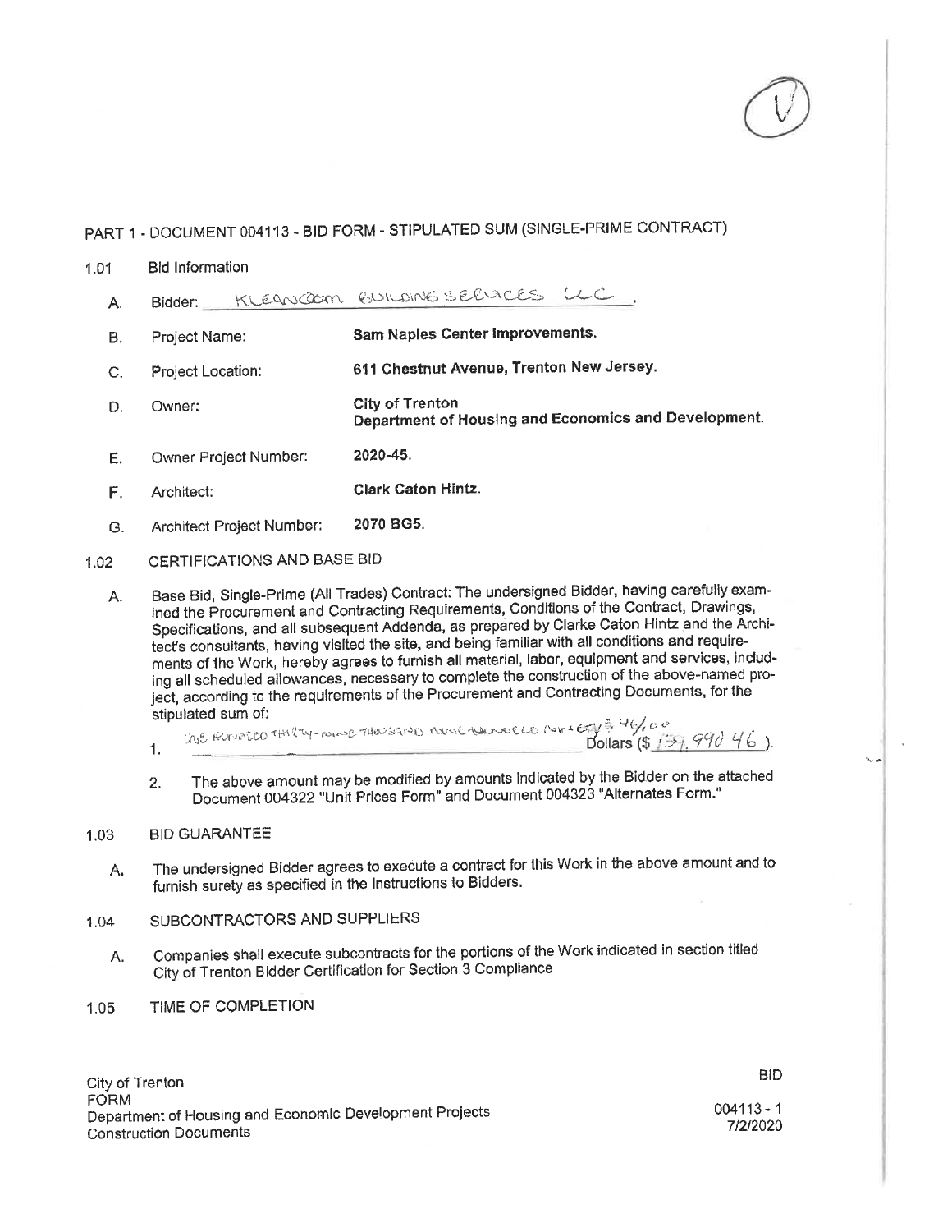### $1.01$ **Bid Information**

- Bidder: KLEANCOOM BUILDING SERVICES LLC Α.
- Sam Naples Center Improvements. **B.** Project Name:
- 611 Chestnut Avenue, Trenton New Jersey. Project Location:  $C_{r}$
- City of Trenton D. Owner: Department of Housing and Economics and Development.
- 2020-45. Owner Project Number: E.
- **Clark Caton Hintz.**  $F_{\perp}$ Architect:
- 2070 BG5. Architect Project Number:  $G.$

### CERTIFICATIONS AND BASE BID  $1.02$

Base Bid, Single-Prime (All Trades) Contract: The undersigned Bidder, having carefully exam-A. ined the Procurement and Contracting Requirements, Conditions of the Contract, Drawings, Specifications, and all subsequent Addenda, as prepared by Clarke Caton Hintz and the Architect's consultants, having visited the site, and being familiar with all conditions and requirements of the Work, hereby agrees to furnish all material, labor, equipment and services, including all scheduled allowances, necessary to complete the construction of the above-named project, according to the requirements of the Procurement and Contracting Documents, for the stipulated sum of:

- his Hundico THITY-NINS THOUSAND Novelane CLO MINICHE 46,00 1.
- The above amount may be modified by amounts indicated by the Bidder on the attached  $2.$ Document 004322 "Unit Prices Form" and Document 004323 "Alternates Form."

### 1.03 **BID GUARANTEE**

- The undersigned Bidder agrees to execute a contract for this Work in the above amount and to Α. furnish surety as specified in the Instructions to Bidders.
- SUBCONTRACTORS AND SUPPLIERS 1.04
	- Companies shall execute subcontracts for the portions of the Work indicated in section titled Α. City of Trenton Bidder Certification for Section 3 Compliance
- TIME OF COMPLETION  $1.05$

**BID**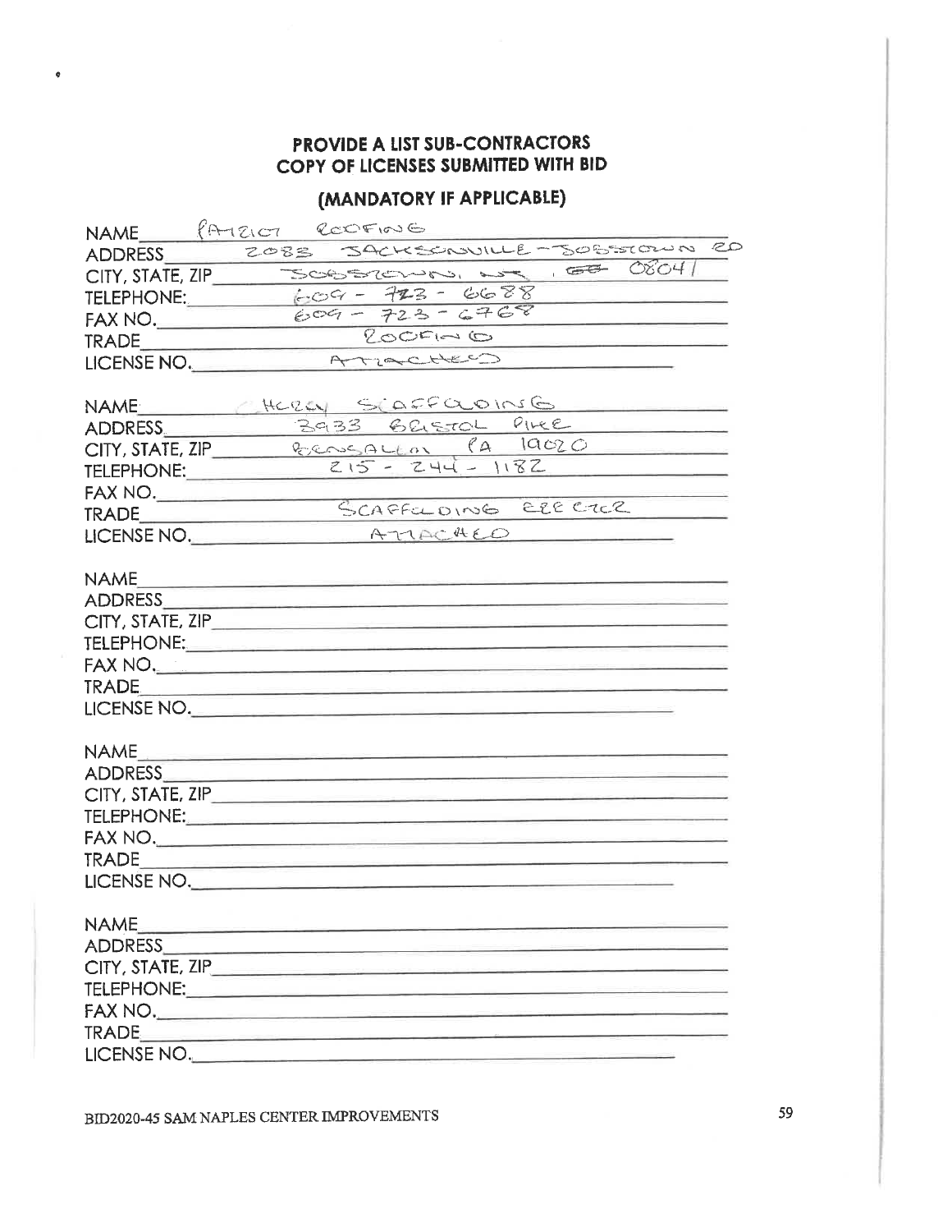# PROVIDE A LIST SUB-CONTRACTORS COPY OF LICENSES SUBMITTED WITH BID

# (MANDATORY IF APPLICABLE)

|                | NAME PATEIOT RECOFING                                                                                                                                                                                                                |
|----------------|--------------------------------------------------------------------------------------------------------------------------------------------------------------------------------------------------------------------------------------|
|                | ADDRESS ZOBE JACKSCRUILLE-SOBEROUN 20                                                                                                                                                                                                |
|                | $CITY, STATE, ZIP$ SOBSRENAS, we less $OSO4$                                                                                                                                                                                         |
|                |                                                                                                                                                                                                                                      |
|                | TELEPHONE: 609 - 723 - 6688<br>FAX NO. 609 - 723 - 6768                                                                                                                                                                              |
|                | $Q_{\circledcirc}C_{\cdot}\circledcirc C_{\cdot}\circledcirc$                                                                                                                                                                        |
|                | LICENSE NO. ATTOCHES                                                                                                                                                                                                                 |
|                |                                                                                                                                                                                                                                      |
|                | NAME HERLY SCAFFOLOINSG                                                                                                                                                                                                              |
|                | ADDRESS 3933 BELSTOL PIKE                                                                                                                                                                                                            |
|                | CITY, STATE, ZIP ECONSQUEON PA 19020                                                                                                                                                                                                 |
|                | TELEPHONE: 215 - 244 - 1182                                                                                                                                                                                                          |
|                |                                                                                                                                                                                                                                      |
|                | FAX NO. SCAFFILOING ELECTER                                                                                                                                                                                                          |
|                | $HCENSENO.$ A TIAC <sup>44</sup> EO                                                                                                                                                                                                  |
|                |                                                                                                                                                                                                                                      |
|                |                                                                                                                                                                                                                                      |
|                | ADDRESS AND ALL AND A CONTROL AND A CONTROL AND A CONTROL AND A CONTROL AND A CONTROL AND A CONTROL AND A CONTROL AND A CONTROL AND A CONTROL AND A CONTROL AND A CONTROL AND A CONTROL AND A CONTROL AND A CONTROL AND A CONT       |
|                |                                                                                                                                                                                                                                      |
|                |                                                                                                                                                                                                                                      |
|                | FAX NO. <u>2008 - 2008 - 2008 - 2008 - 2008 - 2008 - 2008 - 2008 - 2008 - 2008 - 2008 - 2008 - 2008 - 2008 - 2008 - 2008 - 2008 - 2008 - 2008 - 2008 - 2008 - 2008 - 2008 - 2008 - 2008 - 2008 - 2008 - 2008 - 2008 - 2008 - 200</u> |
|                |                                                                                                                                                                                                                                      |
|                | LICENSE NO.                                                                                                                                                                                                                          |
|                |                                                                                                                                                                                                                                      |
|                |                                                                                                                                                                                                                                      |
|                |                                                                                                                                                                                                                                      |
|                |                                                                                                                                                                                                                                      |
|                | TELEPHONE: New York State State State State State State State State State State State State State State State State State State State State State State State State State State State State State State State State State Stat       |
|                |                                                                                                                                                                                                                                      |
|                |                                                                                                                                                                                                                                      |
|                | LICENSE NO.                                                                                                                                                                                                                          |
|                |                                                                                                                                                                                                                                      |
| <b>NAME</b>    |                                                                                                                                                                                                                                      |
| <b>ADDRESS</b> | <u> 1989 - Johann Barn, amerikansk politiker (</u>                                                                                                                                                                                   |
|                |                                                                                                                                                                                                                                      |
|                | TELEPHONE: And the contract of the contract of the contract of the contract of the contract of the contract of                                                                                                                       |
|                | FAX NO.                                                                                                                                                                                                                              |
|                |                                                                                                                                                                                                                                      |
|                | LICENSE NO.                                                                                                                                                                                                                          |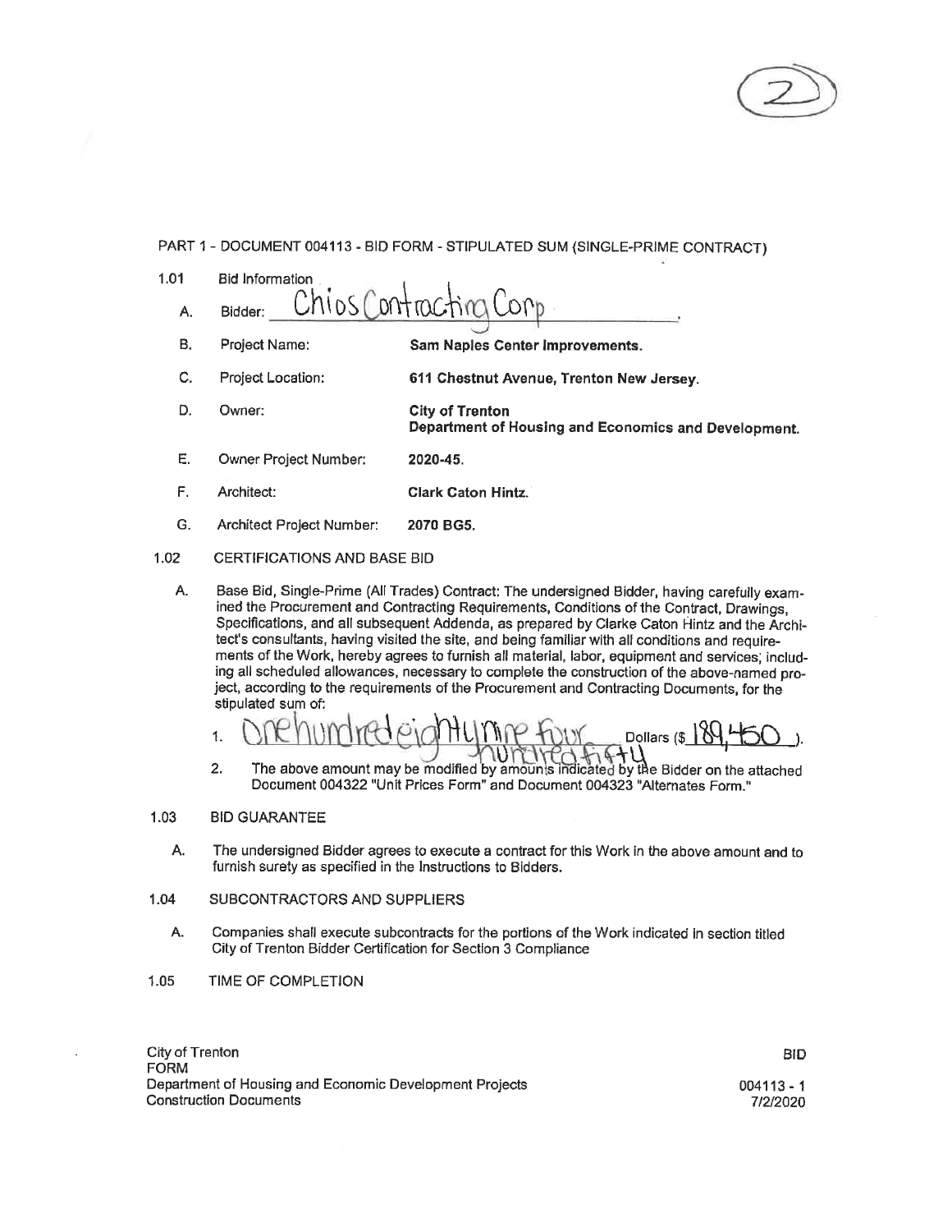

| 1.01 | <b>Bid Information</b>                                                                                                                                                                                                                                                                                                                                                                       |                                                                         |  |  |  |
|------|----------------------------------------------------------------------------------------------------------------------------------------------------------------------------------------------------------------------------------------------------------------------------------------------------------------------------------------------------------------------------------------------|-------------------------------------------------------------------------|--|--|--|
| А.   | Bidder:                                                                                                                                                                                                                                                                                                                                                                                      | Chios Contracting Corp                                                  |  |  |  |
| В.   | Project Name:                                                                                                                                                                                                                                                                                                                                                                                | Sam Naples Center Improvements.                                         |  |  |  |
| C.   | Project Location:                                                                                                                                                                                                                                                                                                                                                                            | 611 Chestnut Avenue, Trenton New Jersey.                                |  |  |  |
| D.   | Owner:                                                                                                                                                                                                                                                                                                                                                                                       | City of Trenton<br>Department of Housing and Economics and Development. |  |  |  |
| Е.   | Owner Project Number:                                                                                                                                                                                                                                                                                                                                                                        | 2020-45.                                                                |  |  |  |
| F.   | Architect:                                                                                                                                                                                                                                                                                                                                                                                   | <b>Clark Caton Hintz.</b>                                               |  |  |  |
| G.   | Architect Project Number:                                                                                                                                                                                                                                                                                                                                                                    | 2070 BG5.                                                               |  |  |  |
| 1.02 | <b>CERTIFICATIONS AND BASE BID</b>                                                                                                                                                                                                                                                                                                                                                           |                                                                         |  |  |  |
| А.   | Base Bid, Single-Prime (All Trades) Contract: The undersigned Bidder, having carefully exam-<br>ined the Procurement and Contracting Requirements, Conditions of the Contract, Drawings,<br>Specifications, and all subsequent Addenda, as prepared by Clarke Caton Hintz and the Archi-<br>tect's consultants, having visited the site, and being familiar with all conditions and require- |                                                                         |  |  |  |

ments of the Work, hereby agrees to furnish all material, labor, equipment and services, including all scheduled allowances, necessary to complete the construction of the above-named project, according to the requirements of the Procurement and Contracting Documents, for the stipulated sum of:



 $2.$ The above amount may be modified by amounts indicated by the Bidder on the attached Document 004322 "Unit Prices Form" and Document 004323 "Alternates Form."

#### 1.03 **BID GUARANTEE**

- А. The undersigned Bidder agrees to execute a contract for this Work in the above amount and to furnish surety as specified in the Instructions to Bidders.
- 1.04 SUBCONTRACTORS AND SUPPLIERS
	- Companies shall execute subcontracts for the portions of the Work indicated in section titled А. City of Trenton Bidder Certification for Section 3 Compliance
- TIME OF COMPLETION 1.05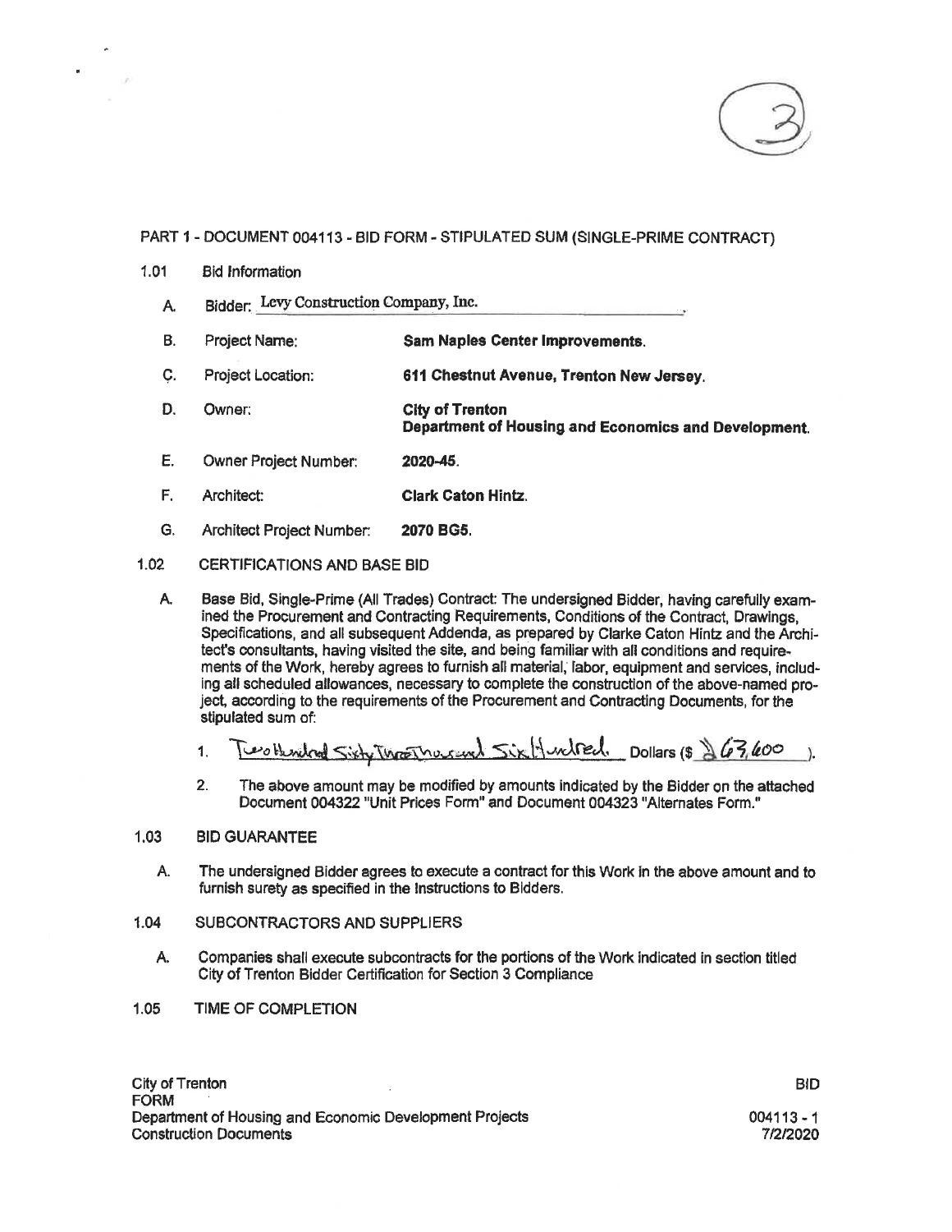

### 1.01 **Bid Information**

- Bidder: Levy Construction Company, Inc. A.
- **B.** Project Name: Sam Naples Center Improvements.
- C. Project Location: 611 Chestnut Avenue, Trenton New Jersey.
- D. Owner: **City of Trenton** Department of Housing and Economics and Development.
- E. **Owner Project Number:** 2020-45.
- F. Architect: **Clark Caton Hintz.**
- G. Architect Project Number: 2070 BG5.

### $1.02$ CERTIFICATIONS AND BASE BID

А. Base Bid, Single-Prime (All Trades) Contract: The undersigned Bidder, having carefully examined the Procurement and Contracting Requirements, Conditions of the Contract, Drawings. Specifications, and all subsequent Addenda, as prepared by Clarke Caton Hintz and the Architect's consultants, having visited the site, and being familiar with all conditions and requirements of the Work, hereby agrees to furnish all material, labor, equipment and services, including all scheduled allowances, necessary to complete the construction of the above-named project, according to the requirements of the Procurement and Contracting Documents, for the stipulated sum of:

Two Hendred Sixty Throat Mucrowel Sixty undred. Dollars (\$ \$63,400  $\mathbf{1}$  $\lambda$ 

 $2.$ The above amount may be modified by amounts indicated by the Bidder on the attached Document 004322 "Unit Prices Form" and Document 004323 "Alternates Form."

### $1.03$ **BID GUARANTEE**

- Α. The undersigned Bidder agrees to execute a contract for this Work in the above amount and to furnish surety as specified in the Instructions to Bidders.
- 1.04 SUBCONTRACTORS AND SUPPLIERS
	- А. Companies shall execute subcontracts for the portions of the Work indicated in section titled City of Trenton Bidder Certification for Section 3 Compliance
- $1.05$ TIME OF COMPLETION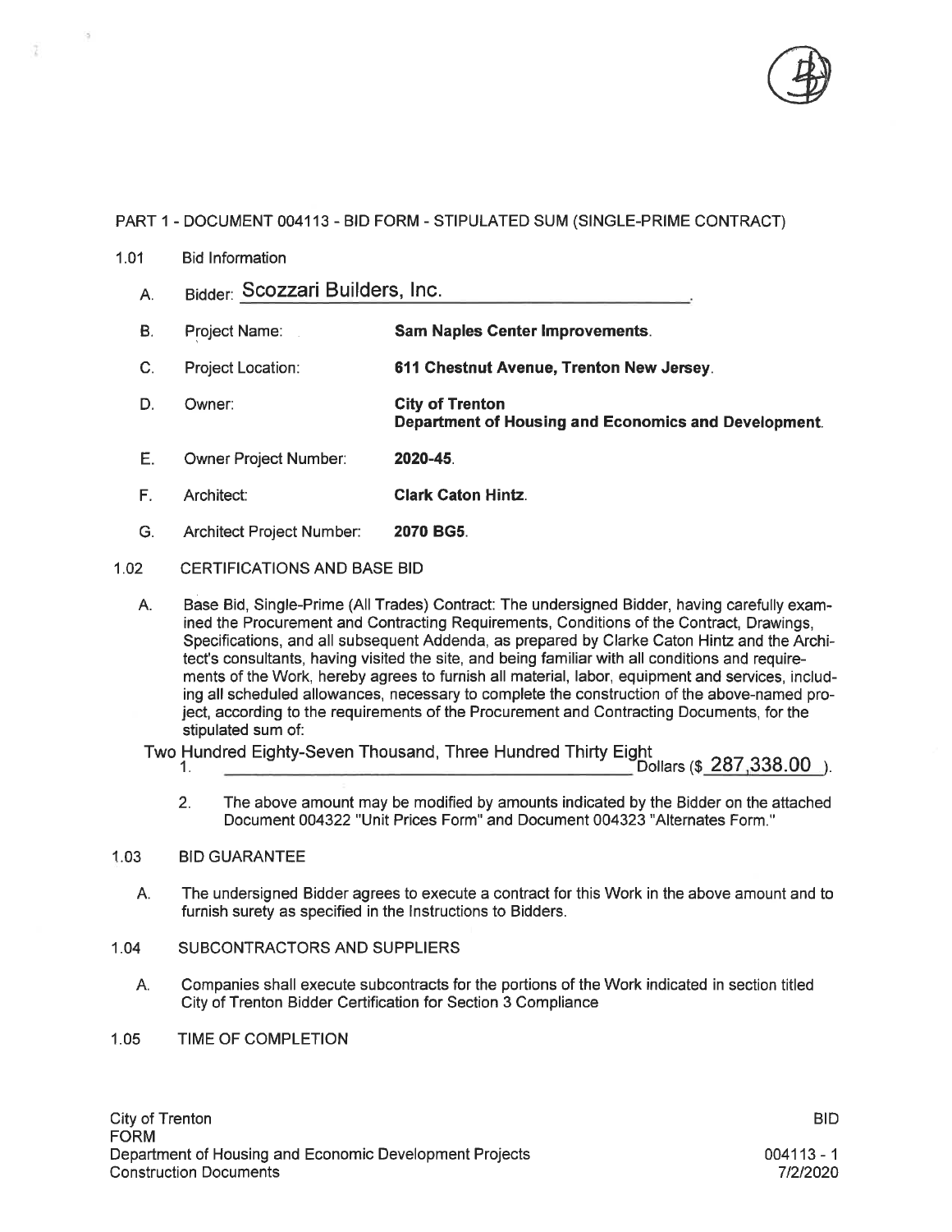

 $1.01$ **Bid Information** 

t

- Bidder: Scozzari Builders, Inc. A.
- **B**. Project Name: **Sam Naples Center Improvements.**
- $\mathbf{C}$ Project Location: 611 Chestnut Avenue, Trenton New Jersey.
- D. **City of Trenton** Owner: Department of Housing and Economics and Development.
- E. Owner Project Number: 2020-45
- F. Architect: **Clark Caton Hintz.**
- Ġ. Architect Project Number: 2070 BG5.
- $1.02$ **CERTIFICATIONS AND BASE BID** 
	- Base Bid, Single-Prime (All Trades) Contract: The undersigned Bidder, having carefully exam-A. ined the Procurement and Contracting Requirements, Conditions of the Contract, Drawings, Specifications, and all subsequent Addenda, as prepared by Clarke Caton Hintz and the Architect's consultants, having visited the site, and being familiar with all conditions and requirements of the Work, hereby agrees to furnish all material, labor, equipment and services, including all scheduled allowances, necessary to complete the construction of the above-named project, according to the requirements of the Procurement and Contracting Documents, for the stipulated sum of:

Two Hundred Eighty-Seven Thousand, Three Hundred Thirty Eight 1.

- $\text{Dollars}$  (\$  $287.338.00$  ).
- $2.$ The above amount may be modified by amounts indicated by the Bidder on the attached Document 004322 "Unit Prices Form" and Document 004323 "Alternates Form."

### $1.03$ **BID GUARANTEE**

- The undersigned Bidder agrees to execute a contract for this Work in the above amount and to А. furnish surety as specified in the Instructions to Bidders.
- $1.04$ SUBCONTRACTORS AND SUPPLIERS
	- Companies shall execute subcontracts for the portions of the Work indicated in section titled А. City of Trenton Bidder Certification for Section 3 Compliance
- **TIME OF COMPLETION**  $1.05$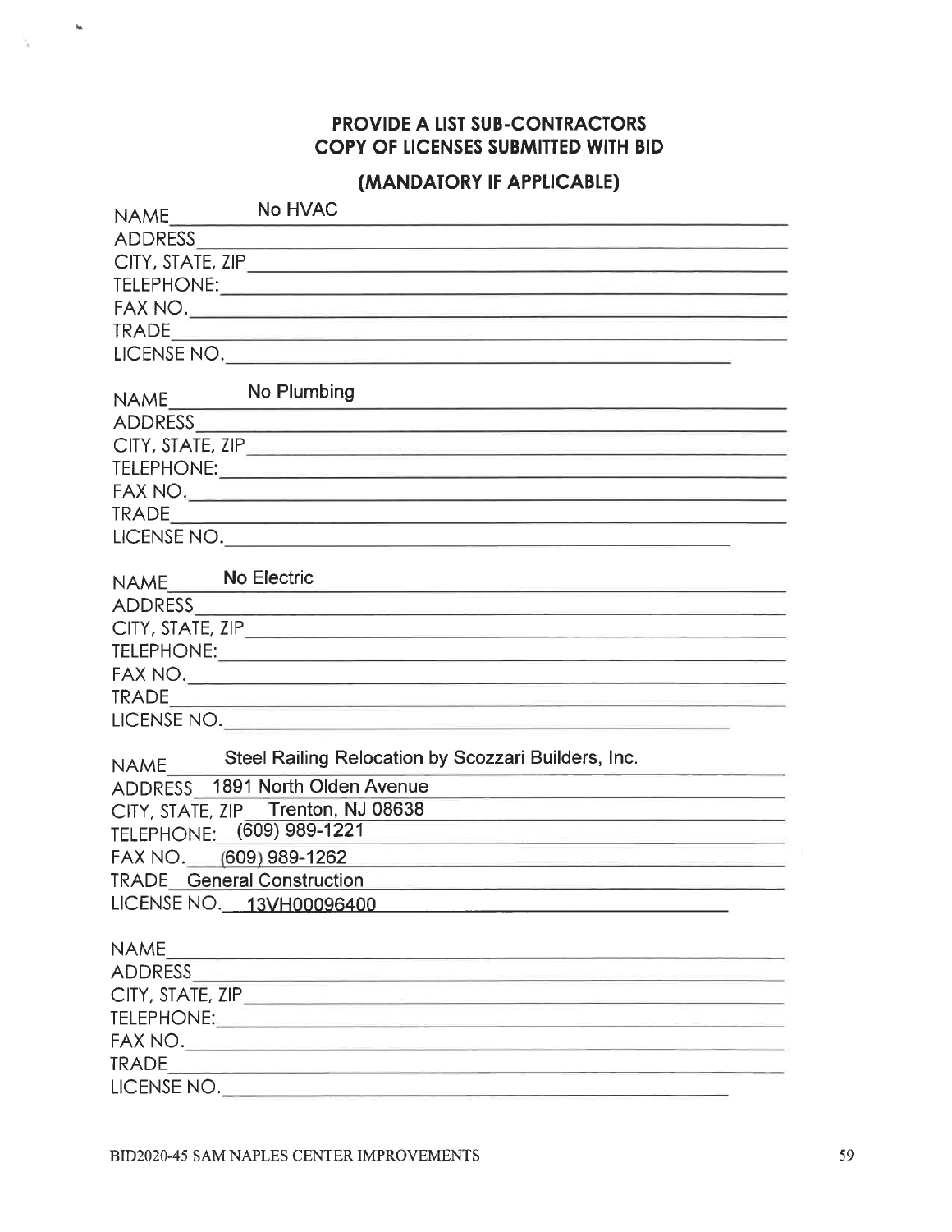# PROVIDE A LIST SUB-CONTRACTORS COPY OF LICENSES SUBMITTED WITH BID

 $\mathbf{g}_0$ 

# (MANDATORY IF APPLICABLE)

| NAME             | No HVAC                                                                                                                         |
|------------------|---------------------------------------------------------------------------------------------------------------------------------|
| ADDRESS          |                                                                                                                                 |
|                  | CITY, STATE, ZIP                                                                                                                |
|                  |                                                                                                                                 |
|                  |                                                                                                                                 |
|                  |                                                                                                                                 |
|                  | LICENSE NO.                                                                                                                     |
|                  |                                                                                                                                 |
| NAME             | No Plumbing<br><u> 1989 - Johann Stoff, amerikansk politiker (d. 1989)</u>                                                      |
|                  |                                                                                                                                 |
|                  |                                                                                                                                 |
|                  |                                                                                                                                 |
|                  |                                                                                                                                 |
|                  |                                                                                                                                 |
|                  | LICENSE NO.                                                                                                                     |
|                  |                                                                                                                                 |
| NAME No Electric | <u> 1989 - Andrea Stationen, Amerikaansk politiker (* 1908)</u>                                                                 |
|                  |                                                                                                                                 |
|                  |                                                                                                                                 |
|                  |                                                                                                                                 |
|                  |                                                                                                                                 |
|                  |                                                                                                                                 |
|                  | LICENSE NO.                                                                                                                     |
|                  | Steel Railing Relocation by Scozzari Builders, Inc.                                                                             |
| <b>NAME</b>      |                                                                                                                                 |
|                  | ADDRESS 1891 North Olden Avenue                                                                                                 |
|                  | CITY, STATE, ZIP_Trenton, NJ 08638<br>the control of the control of the control of the control of the control of the control of |
|                  | TELEPHONE: (609) 989-1221<br><u> 1989 - Andrea Andrew Stadt Barbara (h. 1989)</u>                                               |
|                  | FAX NO. (609) 989-1262                                                                                                          |
|                  | <b>TRADE</b> General Construction                                                                                               |
|                  | LICENSE NO. 13VH00096400                                                                                                        |
|                  |                                                                                                                                 |
| <b>NAME</b>      | <u> 1989 - Jan Bernard Bernard, menyddol a gan y cynnwys y cyn</u>                                                              |
|                  |                                                                                                                                 |
|                  |                                                                                                                                 |
|                  |                                                                                                                                 |
|                  |                                                                                                                                 |
|                  |                                                                                                                                 |
|                  |                                                                                                                                 |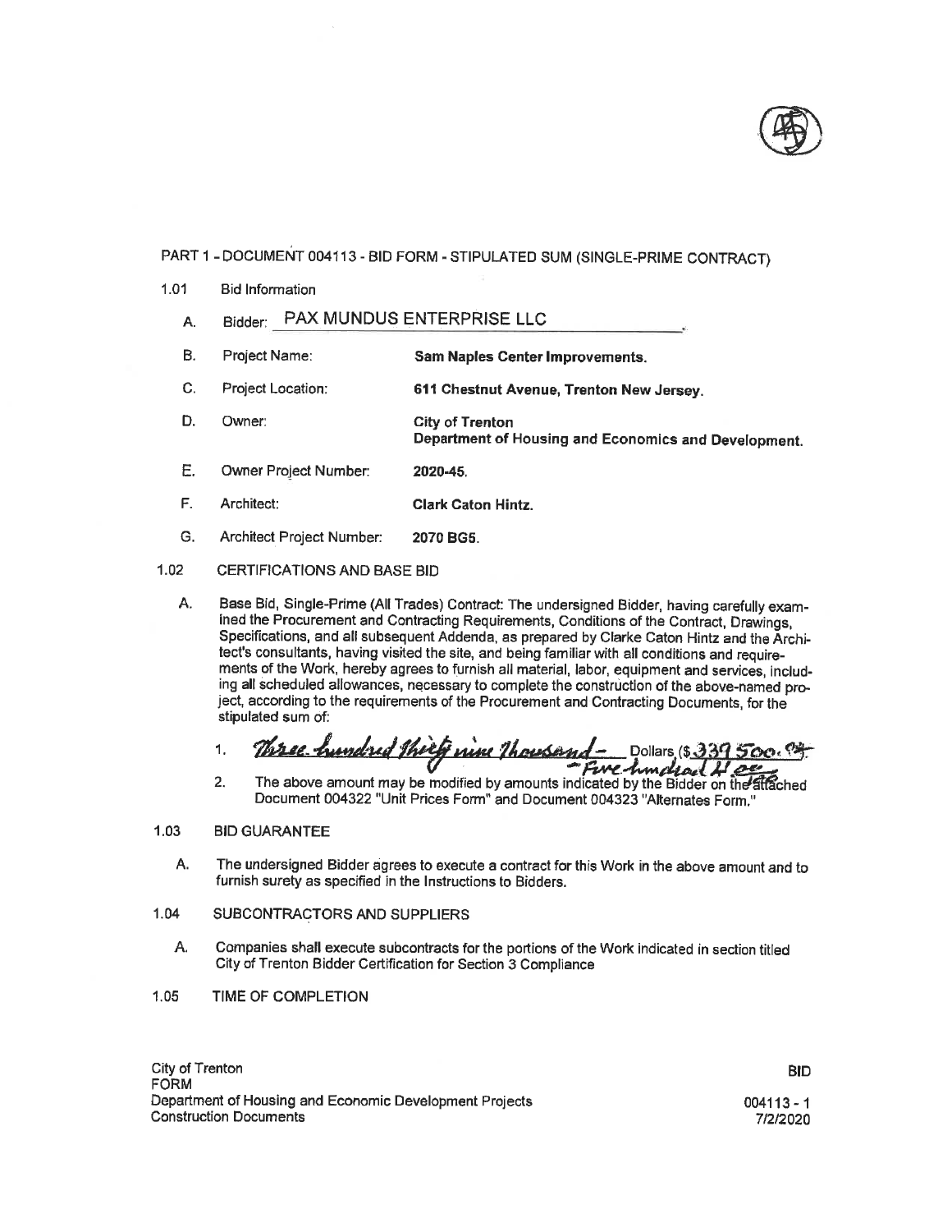

- $1.01$ **Bid Information** 
	- Bidder: PAX MUNDUS ENTERPRISE LLC Α.
	- B. Project Name: **Sam Naples Center Improvements.**
	- C. Project Location: 611 Chestnut Avenue, Trenton New Jersey.
	- D. Owner: City of Trenton Department of Housing and Economics and Development.
	- Ε. Owner Project Number: 2020-45.
	- F. Architect: **Clark Caton Hintz.**
	- G. Architect Project Number: 2070 BG5.

### $1.02$ CERTIFICATIONS AND BASE BID

Base Bid, Single-Prime (All Trades) Contract: The undersigned Bidder, having carefully exam-А. ined the Procurement and Contracting Requirements, Conditions of the Contract, Drawings, Specifications, and all subsequent Addenda, as prepared by Clarke Caton Hintz and the Architect's consultants, having visited the site, and being familiar with all conditions and requirements of the Work, hereby agrees to furnish all material, labor, equipment and services, including all scheduled allowances, necessary to complete the construction of the above-named project, according to the requirements of the Procurement and Contracting Documents, for the stipulated sum of:

Three hundred theeft nine thousand-1. Dollars  $(5339500.9)$ Five-hundrad 4  $\mathcal{L}$ 

 $2.$ The above amount may be modified by amounts indicated by the Bidder on the attached Document 004322 "Unit Prices Form" and Document 004323 "Alternates Form."

### $1,03$ **BID GUARANTEE**

- Α. The undersigned Bidder agrees to execute a contract for this Work in the above amount and to furnish surety as specified in the Instructions to Bidders.
- 1.04 SUBCONTRACTORS AND SUPPLIERS
	- Α. Companies shall execute subcontracts for the portions of the Work indicated in section titled City of Trenton Bidder Certification for Section 3 Compliance
- $1.05$ TIME OF COMPLETION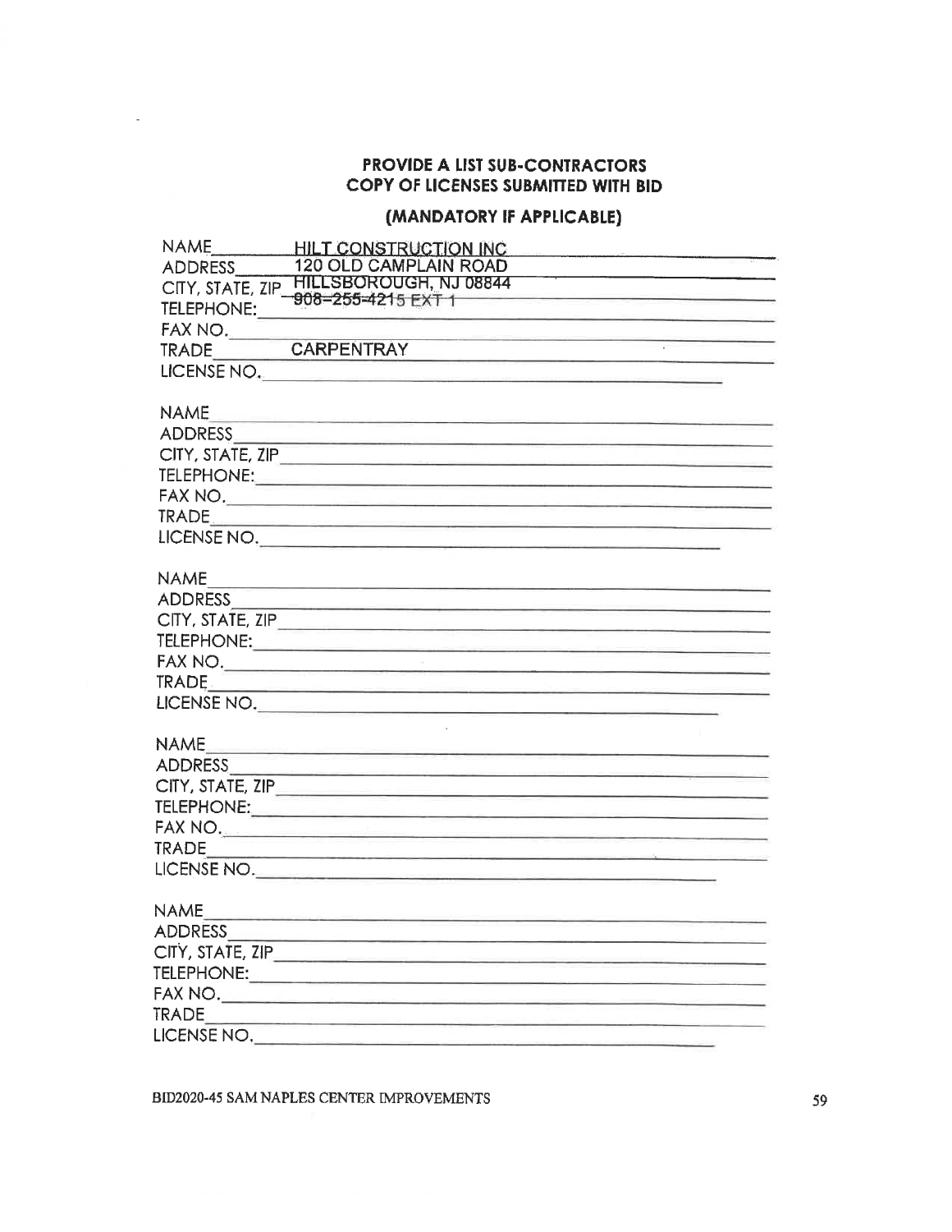## **PROVIDE A LIST SUB-CONTRACTORS** COPY OF LICENSES SUBMITTED WITH BID

# (MANDATORY IF APPLICABLE)

| <b>NAME</b>      | <b>HILT CONSTRUCTION INC</b>                                                                                             |
|------------------|--------------------------------------------------------------------------------------------------------------------------|
| <b>ADDRESS</b>   | <b>120 OLD CAMPLAIN ROAD</b>                                                                                             |
| CITY, STATE, ZIP | HILLSBOROUGH, NJ 08844                                                                                                   |
| TELEPHONE:       | 908-255-4215 EXT 1                                                                                                       |
| FAX NO.          |                                                                                                                          |
| <b>TRADE</b>     | <b>CARPENTRAY</b><br>the control of the control of the control of                                                        |
| LICENSE NO.      |                                                                                                                          |
|                  |                                                                                                                          |
| <b>NAME</b>      | <u> 1980 - Jack Jackson, start i brendager f</u>                                                                         |
| <b>ADDRESS</b>   | <u> 1989 - Jan Bernard Bernard, mengang bermula pada 1980 - Perang Bernard Bernard Bernard Bernard Bernard Bernard B</u> |
|                  | CITY, STATE, ZIP                                                                                                         |
|                  |                                                                                                                          |
|                  | FAX NO.                                                                                                                  |
|                  |                                                                                                                          |
|                  | LICENSE NO.                                                                                                              |
|                  |                                                                                                                          |
| <b>NAME</b>      | <u> 1989 - John Barnett, Amerikaansk politiker (* 19</u>                                                                 |
|                  |                                                                                                                          |
|                  |                                                                                                                          |
|                  |                                                                                                                          |
|                  |                                                                                                                          |
|                  |                                                                                                                          |
|                  | LICENSE NO.                                                                                                              |
|                  |                                                                                                                          |
| <b>NAME</b>      | <u> Bandarík a statistik a statistik a statistik a statistik a statistik a statistik a statistik a statistik a s</u>     |
|                  |                                                                                                                          |
|                  |                                                                                                                          |
|                  |                                                                                                                          |
|                  | FAX NO                                                                                                                   |
|                  |                                                                                                                          |
|                  | LICENSE NO.                                                                                                              |
|                  |                                                                                                                          |
| NAME             | <u> 1989 - Andrea Stadt Andrew Maria (h. 1989).</u>                                                                      |
| <b>ADDRESS</b>   | a post me il provincia con la contrata della                                                                             |
|                  |                                                                                                                          |
|                  |                                                                                                                          |
|                  |                                                                                                                          |
| <b>TRADE</b>     | and the control of the control of the control of the control of the control of                                           |
| LICENSE NO.      |                                                                                                                          |

BID2020-45 SAM NAPLES CENTER IMPROVEMENTS

59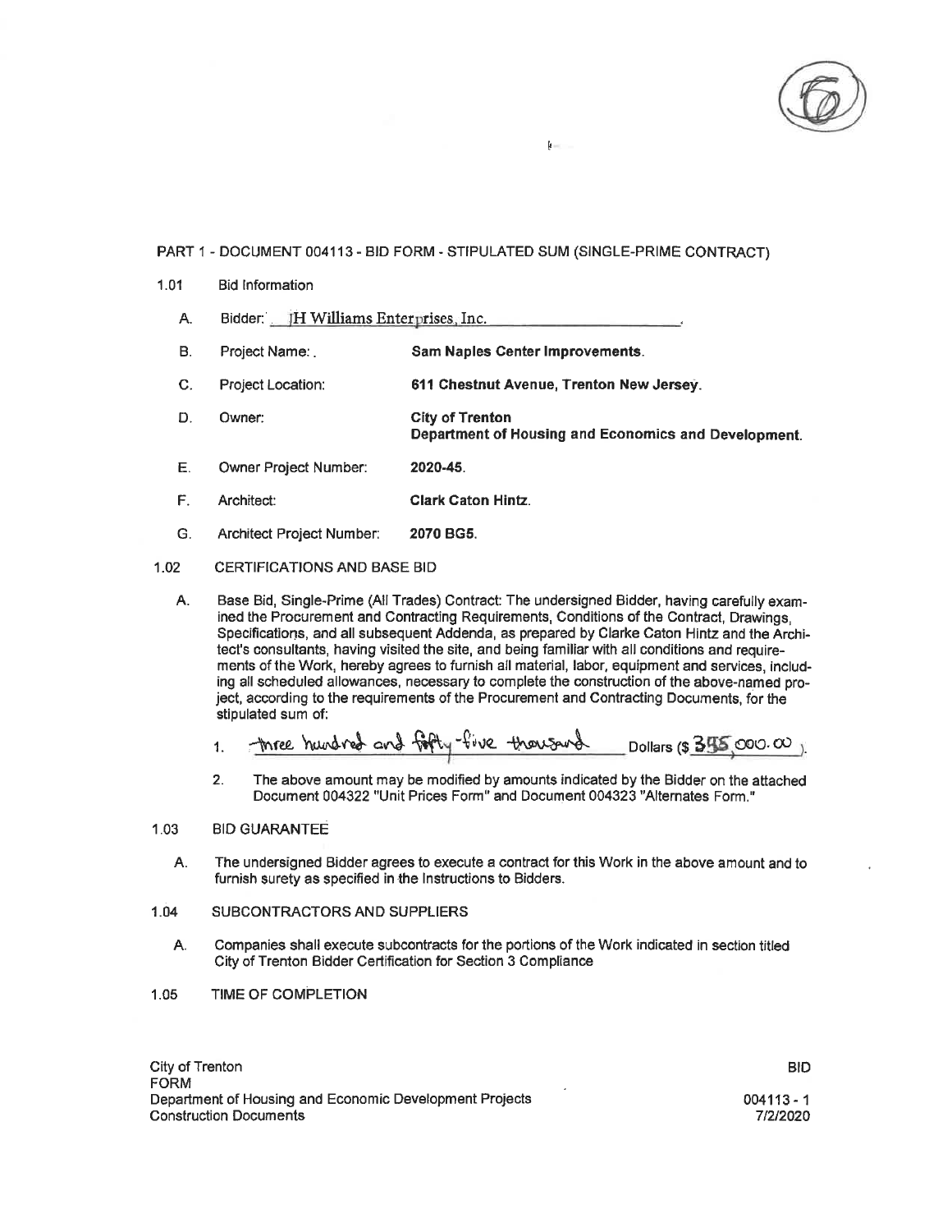

k.

- $1.01$ **Bid Information** 
	- A. Bidder: JH Williams Enterprises, Inc.
	- $B.$ Sam Naples Center Improvements. Project Name:
	- C. Project Location: 611 Chestnut Avenue, Trenton New Jersey.
	- D. Owner: **City of Trenton** Department of Housing and Economics and Development.
	- Е. Owner Project Number: 2020-45.
	- $F_{\rm L}$ Architect: **Clark Caton Hintz.**
	- G. Architect Project Number: 2070 BG5.

#### $1.02$ CERTIFICATIONS AND BASE BID

A. Base Bid, Single-Prime (All Trades) Contract: The undersigned Bidder, having carefully examined the Procurement and Contracting Requirements, Conditions of the Contract, Drawings, Specifications, and all subsequent Addenda, as prepared by Clarke Caton Hintz and the Architect's consultants, having visited the site, and being familiar with all conditions and requirements of the Work, hereby agrees to furnish all material, labor, equipment and services, including all scheduled allowances, necessary to complete the construction of the above-named project, according to the requirements of the Procurement and Contracting Documents, for the stipulated sum of:

three hundred and forty-five thousand Dollars (\$ $35$  000.00)  $1.$ 

 $2.$ The above amount may be modified by amounts indicated by the Bidder on the attached Document 004322 "Unit Prices Form" and Document 004323 "Alternates Form."

#### $1.03$ **BID GUARANTEE**

А. The undersigned Bidder agrees to execute a contract for this Work in the above amount and to furnish surety as specified in the Instructions to Bidders.

### $1.04$ SUBCONTRACTORS AND SUPPLIERS

- Companies shall execute subcontracts for the portions of the Work indicated in section titled А. City of Trenton Bidder Certification for Section 3 Compliance
- 1.05 TIME OF COMPLETION